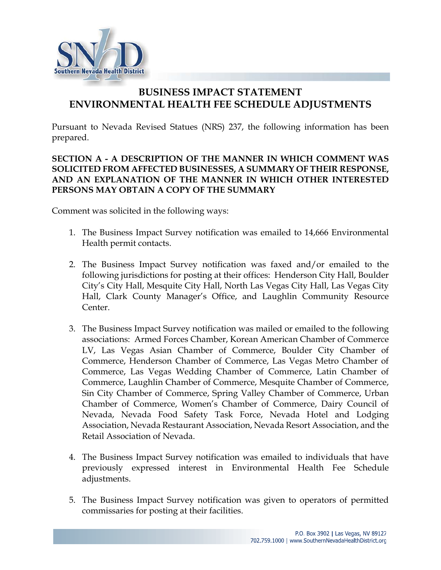

# **BUSINESS IMPACT STATEMENT ENVIRONMENTAL HEALTH FEE SCHEDULE ADJUSTMENTS**

Pursuant to Nevada Revised Statues (NRS) 237, the following information has been prepared.

# **SECTION A - A DESCRIPTION OF THE MANNER IN WHICH COMMENT WAS SOLICITED FROM AFFECTED BUSINESSES, A SUMMARY OF THEIR RESPONSE, AND AN EXPLANATION OF THE MANNER IN WHICH OTHER INTERESTED PERSONS MAY OBTAIN A COPY OF THE SUMMARY**

Comment was solicited in the following ways:

- 1. The Business Impact Survey notification was emailed to 14,666 Environmental Health permit contacts.
- 2. The Business Impact Survey notification was faxed and/or emailed to the following jurisdictions for posting at their offices: Henderson City Hall, Boulder City's City Hall, Mesquite City Hall, North Las Vegas City Hall, Las Vegas City Hall, Clark County Manager's Office, and Laughlin Community Resource Center.
- 3. The Business Impact Survey notification was mailed or emailed to the following associations: Armed Forces Chamber, Korean American Chamber of Commerce LV, Las Vegas Asian Chamber of Commerce, Boulder City Chamber of Commerce, Henderson Chamber of Commerce, Las Vegas Metro Chamber of Commerce, Las Vegas Wedding Chamber of Commerce, Latin Chamber of Commerce, Laughlin Chamber of Commerce, Mesquite Chamber of Commerce, Sin City Chamber of Commerce, Spring Valley Chamber of Commerce, Urban Chamber of Commerce, Women's Chamber of Commerce, Dairy Council of Nevada, Nevada Food Safety Task Force, Nevada Hotel and Lodging Association, Nevada Restaurant Association, Nevada Resort Association, and the Retail Association of Nevada.
- 4. The Business Impact Survey notification was emailed to individuals that have previously expressed interest in Environmental Health Fee Schedule adjustments.
- 5. The Business Impact Survey notification was given to operators of permitted commissaries for posting at their facilities.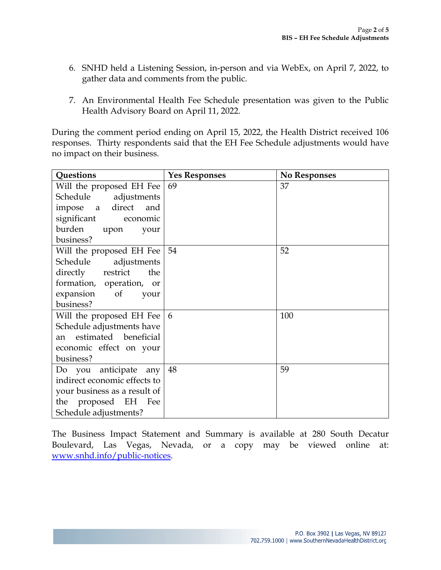- 6. SNHD held a Listening Session, in-person and via WebEx, on April 7, 2022, to gather data and comments from the public.
- 7. An Environmental Health Fee Schedule presentation was given to the Public Health Advisory Board on April 11, 2022.

During the comment period ending on April 15, 2022, the Health District received 106 responses. Thirty respondents said that the EH Fee Schedule adjustments would have no impact on their business.

| Questions                    | <b>Yes Responses</b> | <b>No Responses</b> |
|------------------------------|----------------------|---------------------|
| Will the proposed EH Fee     | 69                   | 37                  |
| Schedule adjustments         |                      |                     |
| impose a direct<br>and       |                      |                     |
| significant<br>economic      |                      |                     |
| burden upon<br>your          |                      |                     |
| business?                    |                      |                     |
| Will the proposed EH Fee     | 54                   | 52                  |
| Schedule adjustments         |                      |                     |
| directly restrict<br>the     |                      |                     |
| formation, operation, or     |                      |                     |
| expansion of<br>your         |                      |                     |
| business?                    |                      |                     |
| Will the proposed EH Fee     | 6                    | 100                 |
| Schedule adjustments have    |                      |                     |
| estimated beneficial<br>an   |                      |                     |
| economic effect on your      |                      |                     |
| business?                    |                      |                     |
| Do you anticipate any        | 48                   | 59                  |
| indirect economic effects to |                      |                     |
| your business as a result of |                      |                     |
| the proposed EH<br>Fee       |                      |                     |
| Schedule adjustments?        |                      |                     |

The Business Impact Statement and Summary is available at 280 South Decatur Boulevard, Las Vegas, Nevada, or a copy may be viewed online at: www.snhd.info/public-notices.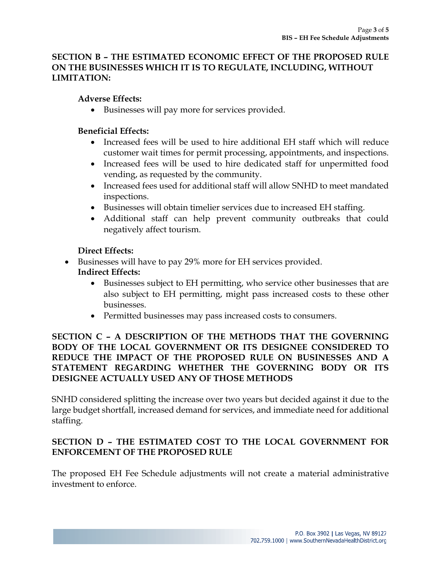# **SECTION B – THE ESTIMATED ECONOMIC EFFECT OF THE PROPOSED RULE ON THE BUSINESSES WHICH IT IS TO REGULATE, INCLUDING, WITHOUT LIMITATION:**

## **Adverse Effects:**

• Businesses will pay more for services provided.

## **Beneficial Effects:**

- Increased fees will be used to hire additional EH staff which will reduce customer wait times for permit processing, appointments, and inspections.
- Increased fees will be used to hire dedicated staff for unpermitted food vending, as requested by the community.
- Increased fees used for additional staff will allow SNHD to meet mandated inspections.
- Businesses will obtain timelier services due to increased EH staffing.
- Additional staff can help prevent community outbreaks that could negatively affect tourism.

## **Direct Effects:**

Businesses will have to pay 29% more for EH services provided.

# **Indirect Effects:**

- Businesses subject to EH permitting, who service other businesses that are also subject to EH permitting, might pass increased costs to these other businesses.
- Permitted businesses may pass increased costs to consumers.

## **SECTION C – A DESCRIPTION OF THE METHODS THAT THE GOVERNING BODY OF THE LOCAL GOVERNMENT OR ITS DESIGNEE CONSIDERED TO REDUCE THE IMPACT OF THE PROPOSED RULE ON BUSINESSES AND A STATEMENT REGARDING WHETHER THE GOVERNING BODY OR ITS DESIGNEE ACTUALLY USED ANY OF THOSE METHODS**

SNHD considered splitting the increase over two years but decided against it due to the large budget shortfall, increased demand for services, and immediate need for additional staffing.

## **SECTION D – THE ESTIMATED COST TO THE LOCAL GOVERNMENT FOR ENFORCEMENT OF THE PROPOSED RULE**

The proposed EH Fee Schedule adjustments will not create a material administrative investment to enforce.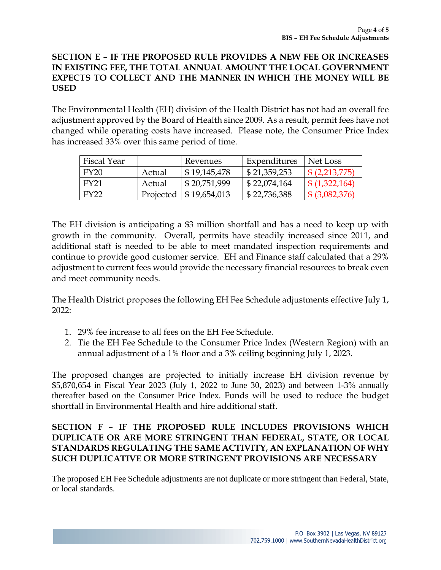## **SECTION E – IF THE PROPOSED RULE PROVIDES A NEW FEE OR INCREASES IN EXISTING FEE, THE TOTAL ANNUAL AMOUNT THE LOCAL GOVERNMENT EXPECTS TO COLLECT AND THE MANNER IN WHICH THE MONEY WILL BE USED**

The Environmental Health (EH) division of the Health District has not had an overall fee adjustment approved by the Board of Health since 2009. As a result, permit fees have not changed while operating costs have increased. Please note, the Consumer Price Index has increased 33% over this same period of time.

| Fiscal Year |        | Revenues                    | Expenditures                | Net Loss                  |
|-------------|--------|-----------------------------|-----------------------------|---------------------------|
| FY20        | Actual | \$19,145,478                | $\frac{1}{2}$ \$ 21,359,253 | $\frac{1}{2}$ (2,213,775) |
| FY21        | Actual | $\frac{1}{2}$ \$ 20,751,999 | \$22,074,164                | $\frac{1}{2}(1,322,164)$  |
| FY22        |        | Projected   \$19,654,013    | \$22,736,388                | \$ (3,082,376)            |

The EH division is anticipating a \$3 million shortfall and has a need to keep up with growth in the community. Overall, permits have steadily increased since 2011, and additional staff is needed to be able to meet mandated inspection requirements and continue to provide good customer service. EH and Finance staff calculated that a 29% adjustment to current fees would provide the necessary financial resources to break even and meet community needs.

The Health District proposes the following EH Fee Schedule adjustments effective July 1, 2022:

- 1. 29% fee increase to all fees on the EH Fee Schedule.
- 2. Tie the EH Fee Schedule to the Consumer Price Index (Western Region) with an annual adjustment of a 1% floor and a 3% ceiling beginning July 1, 2023.

The proposed changes are projected to initially increase EH division revenue by \$5,870,654 in Fiscal Year 2023 (July 1, 2022 to June 30, 2023) and between 1-3% annually thereafter based on the Consumer Price Index. Funds will be used to reduce the budget shortfall in Environmental Health and hire additional staff.

## **SECTION F – IF THE PROPOSED RULE INCLUDES PROVISIONS WHICH DUPLICATE OR ARE MORE STRINGENT THAN FEDERAL, STATE, OR LOCAL STANDARDS REGULATING THE SAME ACTIVITY, AN EXPLANATION OF WHY SUCH DUPLICATIVE OR MORE STRINGENT PROVISIONS ARE NECESSARY**

The proposed EH Fee Schedule adjustments are not duplicate or more stringent than Federal, State, or local standards.